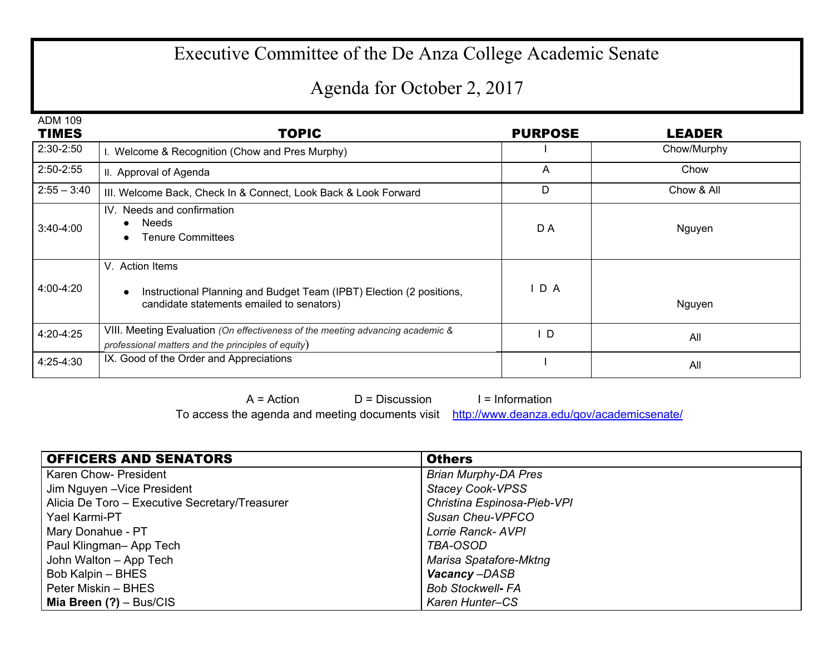## Executive Committee of the De Anza College Academic Senate

## Agenda for October 2, 2017

| <b>ADM 109</b><br><b>TIMES</b> | <b>TOPIC</b>                                                                                                                                      | <b>PURPOSE</b> | <b>LEADER</b> |
|--------------------------------|---------------------------------------------------------------------------------------------------------------------------------------------------|----------------|---------------|
| $2:30-2:50$                    | I. Welcome & Recognition (Chow and Pres Murphy)                                                                                                   |                | Chow/Murphy   |
| $2:50 - 2:55$                  | II. Approval of Agenda                                                                                                                            | A              | Chow          |
| $2:55 - 3:40$                  | III. Welcome Back, Check In & Connect, Look Back & Look Forward                                                                                   | D              | Chow & All    |
| $3:40-4:00$                    | IV. Needs and confirmation<br><b>Needs</b><br>$\bullet$<br><b>Tenure Committees</b><br>$\bullet$                                                  | D A            | Nguyen        |
| 4:00-4:20                      | V. Action Items<br>Instructional Planning and Budget Team (IPBT) Election (2 positions,<br>$\bullet$<br>candidate statements emailed to senators) | IDA            | Nguyen        |
| 4:20-4:25                      | VIII. Meeting Evaluation (On effectiveness of the meeting advancing academic &<br>professional matters and the principles of equity)              | D              | All           |
| 4:25-4:30                      | IX. Good of the Order and Appreciations                                                                                                           |                | All           |

 $A = Action$   $D = Discussion$  I = Information

To access the agenda and meeting documents visit <http://www.deanza.edu/gov/academicsenate/>

| <b>OFFICERS AND SENATORS</b>                   | <b>Others</b>               |
|------------------------------------------------|-----------------------------|
| Karen Chow- President                          | <b>Brian Murphy-DA Pres</b> |
| Jim Nguyen - Vice President                    | <b>Stacey Cook-VPSS</b>     |
| Alicia De Toro - Executive Secretary/Treasurer | Christina Espinosa-Pieb-VPI |
| Yael Karmi-PT                                  | Susan Cheu-VPFCO            |
| Mary Donahue - PT                              | Lorrie Ranck- AVPI          |
| Paul Klingman-App Tech                         | TBA-OSOD                    |
| John Walton - App Tech                         | Marisa Spatafore-Mktng      |
| Bob Kalpin - BHES                              | Vacancy-DASB                |
| Peter Miskin - BHES                            | <b>Bob Stockwell- FA</b>    |
| Mia Breen $(?) - Bus/CIS$                      | Karen Hunter-CS             |